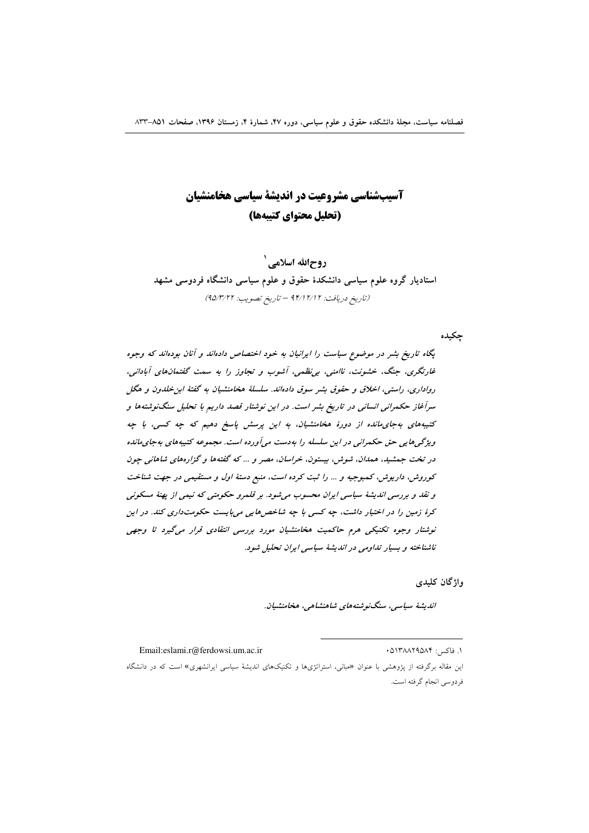# آسیبشناسی مشروعیت در اندیشهٔ سیاسی هخامنشیان (تحليل محتواي كتيبهها)

روحالله اسلامی ` استادیار گروه علوم سیاسی دانشکدهٔ حقوق و علوم سیاسی دانشگاه فردوسی مشهد (تاريخ دريافت: ٢/١٢/١٢ - تاريخ تصويب: ٩٥/٣/٢٢)

جكيده

یگاه تاریخ بشر در موضوع سیاست را ایرانیان به خود اختصاص دادهاند و آنان بودهاند که وجوه غارتگری، جنگ، خشونت، ناامنی، بی نظمی، آشوب و تجاوز را به سمت گفتمانهای آبادانی، رواداري، راستي، اخلاق و حقوق بشر سوق دادهاند. سلسلهٔ هخامنشیان به گفتهٔ این خلدون و هگل سرآغاز حکمرانی انسانی در تاریخ بشر است. در این نوشتار قصد داریم با تحلیل سنگنوشتهها و کتیبههای بهجای مانده از دورهٔ هخامنشیان، به این پرسش پاسخ دهیم که چه کسی، با چه ویژگی هایی حق حکمرانی در این سلسله را به دست می آورده است. مجموعه کتیبه های به جای مانده در تخت جمشید، همدان، شوش، بیستون، خراسان، مصر و ... که گفتهها و گزارههای شاهانی چون کوروش، داریوش، کمبوجیه و ... را ثبت کرده است، منبع دستهٔ اول و مستقیمی در جهت شناخت و نقد و بررسی اندیشهٔ سیاسی ایران محسوب می شود. بر قلمرو حکومتی که نیمی از بهنهٔ مسکونی کرهٔ زمین را در اختیار داشت، چه کسی با چه شاخص هایی میبایست حکومتداری کند. در این نوشتار وجوه تکنیکی هرم حاکمیت هخامنشیان مورد بررسی انتقادی قرار میگیرد تا وجهی ناشناخته و بسیار تداومی در اندیشهٔ سیاسی ایران تحلیل شود.

واژگان کلیدی

اندىشۀ سياسى، سنگنوشتەھاي شاھنشاھى، ھخامنشيان.

١. فاكس: ٥١٣٨٨٢٩٥٨۴

این مقاله برگرفته از پژوهشی با عنوان «مبانی، استراتژیها و تکنیکهای اندیشهٔ سیاسی ایرانشهری» است که در دانشگاه فردوسي انجام گرفته است.

Email:eslami.r@ferdowsi.um.ac.ir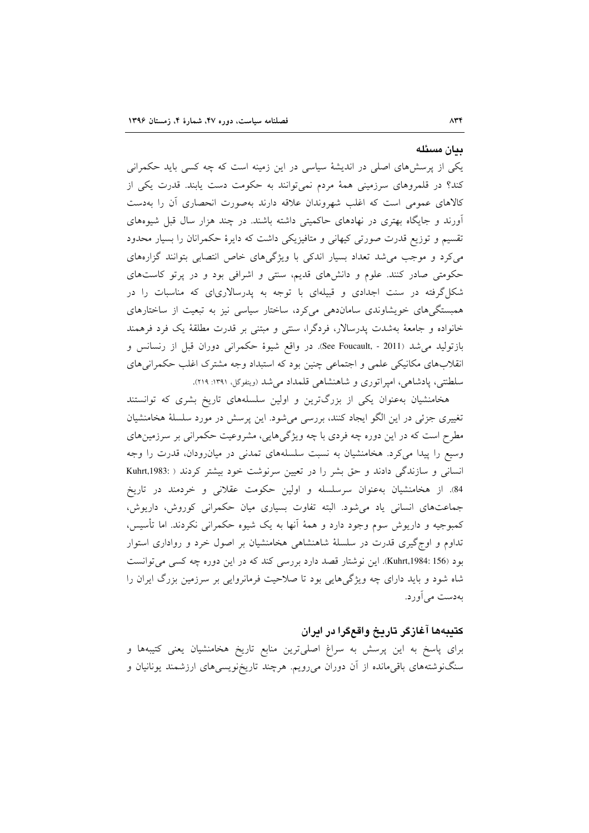#### ىيان مسئله

یکی از پرسشهای اصلی در اندیشهٔ سیاسی در این زمینه است که چه کسی باید حکمرانی کند؟ در قلمروهای سرزمینی همهٔ مردم نمیتوانند به حکومت دست یابند. قدرت یکی از کالاهای عمومی است که اغلب شهروندان علاقه دارند بهصورت انحصاری أن را بهدست آورند و جایگاه بهتری در نهادهای حاکمیتی داشته باشند. در چند هزار سال قبل شیوههای تقسیم و توزیع قدرت صورتی کیهانی و متافیزیکی داشت که دایرهٔ حکمرانان را بسیار محدود می کرد و موجب می شد تعداد بسیار اندکی با ویژگیهای خاص انتصابی بتوانند گزارههای حکومتی صادر کنند. علوم و دانشهای قدیم، سنتی و اشرافی بود و در پرتو کاستهای شکل گرفته در سنت اجدادی و قبیلهای با توجه به پدرسالاریای که مناسبات را در همبستگیهای خویشاوندی ساماندهی میکرد، ساختار سیاسی نیز به تبعیت از ساختارهای خانواده و جامعهٔ بهشدت پدرسالار، فردگرا، سنتی و مبتنی بر قدرت مطلقهٔ یک فرد فرهمند بازتوليد مي شد (See Foucault, - 2011). در واقع شيوهٔ حكمراني دوران قبل از رنسانس و انقلابهای مکانیکی علمی و اجتماعی چنین بود که استبداد وجه مشترک اغلب حکمرانی های سلطنتی، پادشاهی، امپراتوری و شاهنشاهی قلمداد میشد (ویتفوگل، ۱۳۹۱: ۲۱۹).

هخامنشیان بهعنوان یکی از بزرگترین و اولین سلسلههای تاریخ بشری که توانستند تغییری جزئی در این الگو ایجاد کنند، بررسی می شود. این پرسش در مورد سلسلهٔ هخامنشیان مطرح است که در این دوره چه فردی با چه ویژگیهایی، مشروعیت حکمرانی بر سرزمینهای وسیع را پیدا می کرد. هخامنشیان به نسبت سلسلههای تمدنی در میان رودان، قدرت را وجه انسانی و سازندگی دادند و حق بشر را در تعیین سرنوشت خود بیشتر کردند ( :Kuhrt,1983 84. از هخامنشیان به عنوان سرسلسله و اولین حکومت عقلانی و خردمند در تاریخ جماعتهای انسانی یاد میشود. البته تفاوت بسیاری میان حکمرانی کوروش، داریوش، کمبوجیه و داریوش سوم وجود دارد و همهٔ آنها به یک شیوه حکمرانی نکردند. اما تأسیس، تداوم و اوج گیری قدرت در سلسلهٔ شاهنشاهی هخامنشیان بر اصول خرد و رواداری استوار بود (Kuhrt,1984: 156). این نوشتار قصد دارد بررسی کند که در این دوره چه کسی می توانست شاه شود و باید دارای چه ویژگیهایی بود تا صلاحیت فرمانروایی بر سرزمین بزرگ ایران را بهدست ميأورد.

# كتيبهها آغازگر تاريخ واقعگرا در ايران

برای پاسخ به این پرسش به سراغ اصلیترین منابع تاریخ هخامنشیان یعنی کتیبهها و سنگنوشتههای باقیمانده از آن دوران میرویم. هرچند تاریخنویسیهای ارزشمند یونانیان و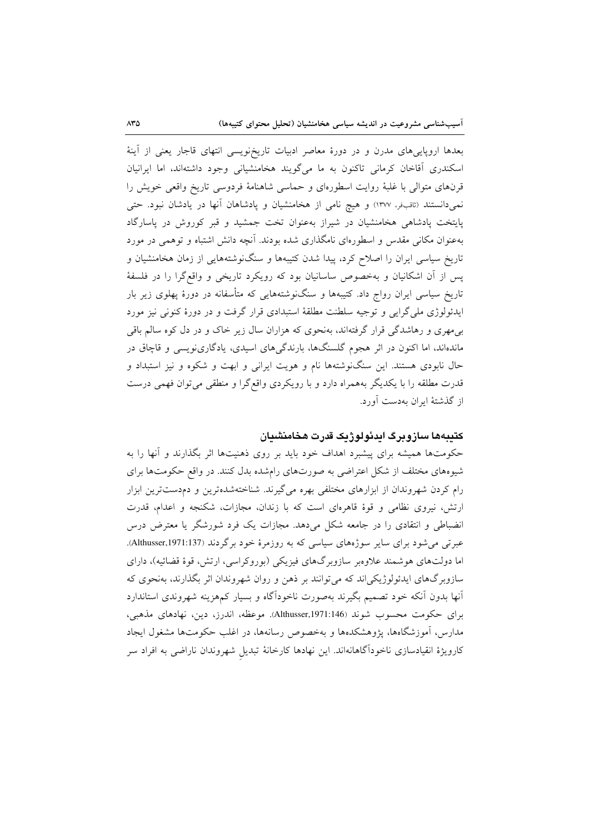بعدها اروپاییهای مدرن و در دورهٔ معاصر ادبیات تاریخنویسی انتهای قاجار یعنی از آینهٔ اسکندری آقاخان کرمانی تاکنون به ما میگویند هخامنشیانی وجود داشتهاند، اما ایرانیان قرنهای متوالی با غلبهٔ روایت اسطورهای و حماسی شاهنامهٔ فردوسی تاریخ واقعی خویش را نمیدانستند (ثاقب فر، ۱۳۷۷) و هیچ نامی از هخامنشیان و پادشاهان آنها در یادشان نبود. حتی پایتخت پادشاهی هخامنشیان در شیراز بهعنوان تخت جمشید و قبر کوروش در پاسارگاد بهعنوان مکانی مقدس و اسطورهای نامگذاری شده بودند. آنچه دانش اشتباه و توهمی در مورد تاریخ سیاسی ایران را اصلاح کرد، پیدا شدن کتیبهها و سنگنوشتههایی از زمان هخامنشیان و پس از آن اشکانیان و بهخصوص ساسانیان بود که رویکرد تاریخی و واقعگرا را در فلسفهٔ تاریخ سیاسی ایران رواج داد. کتیبهها و سنگنوشتههایی که متأسفانه در دورهٔ پهلوی زیر بار ایدئولوژی ملی گرایی و توجیه سلطنت مطلقهٔ استبدادی قرار گرفت و در دورهٔ کنونی نیز مورد به مهري و رهاشدگي قرار گرفتهاند، بهنحوي كه هزاران سال زير خاک و در دل كوه سالم باقي ماندهاند، اما اکنون در اثر هجوم گلسنگها، بارندگیهای اسیدی، یادگارینویسی و قاچاق در حال نابودی هستند. این سنگنوشتهها نام و هویت ایرانی و ابهت و شکوه و نیز استبداد و قدرت مطلقه را با يكديگر بههمراه دارد و با رويكردي واقع گرا و منطقى مى توان فهمى درست از گذشتهٔ ایران بهدست آورد.

# كتببهها سازوبرگ ايدئولوژيک قدرت هخامنشيان

حکومتها همیشه برای پیشبرد اهداف خود باید بر روی ذهنیتها اثر بگذارند و آنها را به شیوههای مختلف از شکل اعتراضی به صورتهای رامشده بدل کنند. در واقع حکومتها برای رام کردن شهروندان از ابزارهای مختلفی بهره میگیرند. شناختهشدهترین و دمدستترین ابزار ارتش، نیروی نظامی و قوهٔ قاهرهای است که با زندان، مجازات، شکنجه و اعدام، قدرت انضباطی و انتقادی را در جامعه شکل میدهد. مجازات یک فرد شورشگر یا معترض درس عبرتی می شود برای سایر سوژههای سیاسی که به روزمرهٔ خود برگردند (Althusser,1971:137). اما دولتهای هوشمند علاوهبر سازوبرگهای فیزیکی (بوروکراسی، ارتش، قوهٔ قضائیه)، دارای سازوبرگهای ایدئولوژیکیاند که می توانند بر ذهن و روان شهروندان اثر بگذارند، بهنحوی که أنها بدون أنكه خود تصميم بگيرند بهصورت ناخوداگاه و بسيار كمهزينه شهروندى استاندارد براي حكومت محسوب شوند (Althusser,1971:146). موعظه، اندرز، دين، نهادهاي مذهبي، مدارس، آموزشگاهها، یژوهشکدهها و بهخصوص رسانهها، در اغلب حکومتها مشغول ایجاد کارویژهٔ انقیادسازی ناخوداًگاهانهاند. این نهادها کارخانهٔ تبدیل شهروندان ناراضی به افراد سر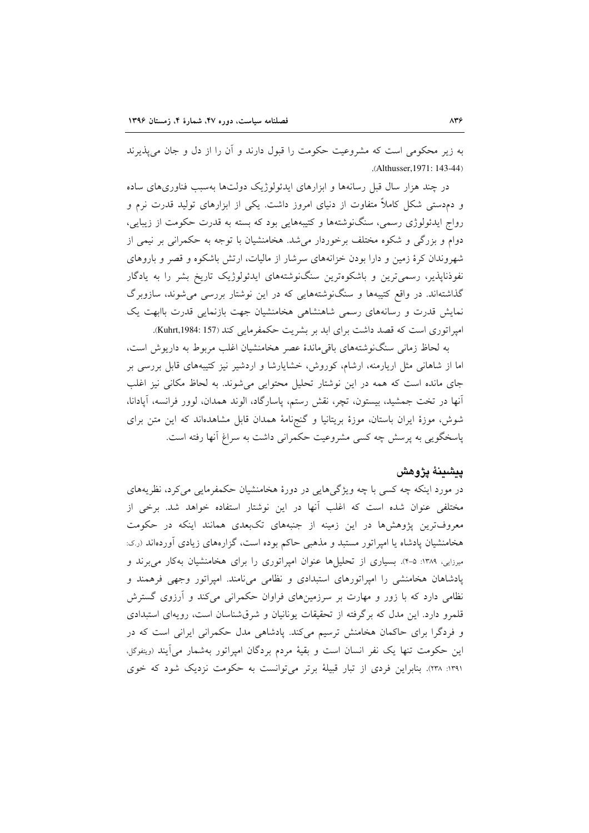به زیر محکومی است که مشروعیت حکومت را قبول دارند و آن را از دل و جان می پذیرند .(Althusser, 1971: 143-44)

در چند هزار سال قبل رسانهها و ابزارهای ایدئولوژیک دولتها بهسبب فناوریهای ساده و دمدستی شکل کاملاً متفاوت از دنیای امروز داشت. یکی از ابزارهای تولید قدرت نرم و رواج ایدئولوژی رسمی، سنگنوشتهها و کتیبههایی بود که بسته به قدرت حکومت از زیبایی، دوام و بزرگی و شکوه مختلف برخوردار میشد. هخامنشیان با توجه به حکمرانی بر نیمی از شهروندان کرهٔ زمین و دارا بودن خزانههای سرشار از مالیات، ارتش باشکوه و قصر و باروهای نفوذناپذیر، رسمیترین و باشکوهترین سنگنوشتههای ایدئولوژیک تاریخ بشر را به یادگار گذاشتهاند. در واقع کتیبهها و سنگنوشتههایی که در این نوشتار بررسی میشوند، سازوبرگ نمایش قدرت و رسانههای رسمی شاهنشاهی هخامنشیان جهت بازنمایی قدرت باابهت یک امیراتوری است که قصد داشت برای ابد بر بشریت حکمفرمایی کند (Kuhrt,1984: 157).

به لحاظ زمانی سنگنوشتههای باقیماندهٔ عصر هخامنشیان اغلب مربوط به داریوش است، اما از شاهانی مثل اریارمنه، ارشام، کوروش، خشایارشا و اردشیر نیز کتیبههای قابل بررسی بر جای مانده است که همه در این نوشتار تحلیل محتوایی می شوند. به لحاظ مکانی نیز اغلب آنها در تخت جمشید، بیستون، تچر، نقش رستم، پاسارگاد، الوند همدان، لوور فرانسه، آپادانا، شوش، موزهٔ ایران باستان، موزهٔ بریتانیا و گنجهامهٔ همدان قابل مشاهدهاند که این متن برای پاسخگویی به پرسش چه کسی مشروعیت حکمرانی داشت به سراغ آنها رفته است.

## يبشبنة يژوهش

در مورد اینکه چه کسی با چه ویژگیهایی در دورهٔ هخامنشیان حکمفرمایی میکرد، نظریههای مختلفی عنوان شده است که اغلب آنها در این نوشتار استفاده خواهد شد. برخی از معروفترین پژوهشها در این زمینه از جنبههای تکبعدی همانند اینکه در حکومت هخامنشیان پادشاه یا امپراتور مستبد و مذهبی حاکم بوده است، گزارههای زیادی آوردهاند (ر.ک: میرزایی، ۱۳۸۹: ۵-۴). بسیاری از تحلیلها عنوان امیراتوری را برای هخامنشیان بهکار می برند و پادشاهان هخامنشی را امپراتورهای استبدادی و نظامی می نامند. امپراتور وجهی فرهمند و نظامی دارد که با زور و مهارت بر سرزمینهای فراوان حکمرانی میکند و آرزوی گسترش قلمرو دارد. این مدل که برگرفته از تحقیقات یونانیان و شرقشناسان است، رویهای استبدادی و فردگرا برای حاکمان هخامنش ترسیم میکند. یادشاهی مدل حکمرانی ایرانی است که در این حکومت تنها یک نفر انسان است و بقیهٔ مردم بردگان امپراتور بهشمار می آیند (ویتفوگل، ۱۳۹۱: ۲۳۸). بنابراین فردی از تبار قبیلهٔ برتر می توانست به حکومت نزدیک شود که خوی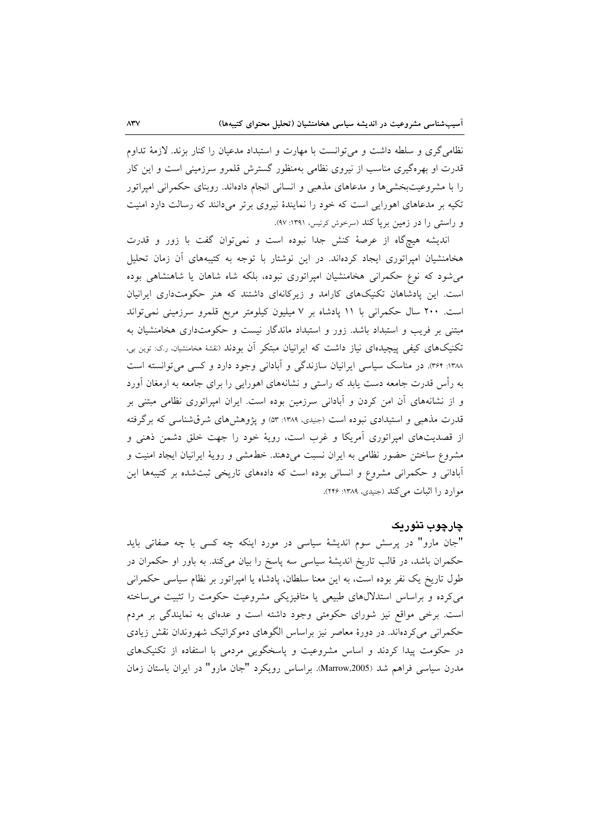نظامی گری و سلطه داشت و می توانست با مهارت و استبداد مدعیان را کنار بزند. لازمهٔ تداوم قدرت او بهرهگیری مناسب از نیروی نظامی بهمنظور گسترش قلمرو سرزمینی است و این کار را با مشروعیتبخشیها و مدعاهای مذهبی و انسانی انجام دادهاند. روبنای حکمرانی امپراتور تکیه بر مدعاهای اهورایی است که خود را نمایندهٔ نیروی برتر میدانند که رسالت دارد امنیت و راستی را در زمین بریا کند (سرخوش کرتیس، ۱۳۹۱: ۹۷).

اندیشه هیچگاه از عرصهٔ کنش جدا نبوده است و نمیتوان گفت با زور و قدرت هخامنشیان امپراتوری ایجاد کردهاند. در این نوشتار با توجه به کتیبههای آن زمان تحلیل می شود که نوع حکمرانی هخامنشیان امپراتوری نبوده، بلکه شاه شاهان یا شاهنشاهی بوده است. این پادشاهان تکنیکهای کارامد و زیرکانهای داشتند که هنر حکومتداری ایرانیان است. ۲۰۰ سال حکمرانی با ۱۱ پادشاه بر ۷ میلیون کیلومتر مربع قلمرو سرزمینی نمیتواند مبتنی بر فریب و استبداد باشد. زور و استبداد ماندگار نیست و حکومتداری هخامنشیان به تکنیکهای کیفی پیچیدهای نیاز داشت که ایرانیان مبتکر آن بودند (نقشهٔ مخامنشیان، رک: توین بی، ۱۳۸۸: ۳۶۴). در مناسک سیاسی ایرانیان سازندگی و آبادانی وجود دارد و کسی می توانسته است به رأس قدرت جامعه دست یابد که راستی و نشانههای اهورایی را برای جامعه به ارمغان آورد و از نشانههای آن امن کردن و آبادانی سرزمین بوده است. ایران امپراتوری نظامی مبتنی بر قدرت مذهبی و استبدادی نبوده است (جنیدی، ۱۳۸۹: ۵۳) و پژوهشهای شرقشناسی که برگرفته از قصدیتهای امپراتوری آمریکا و غرب است، رویهٔ خود را جهت خلق دشمن ذهنی و مشروع ساختن حضور نظامی به ایران نسبت می٫دهند. خطمشی و رویهٔ ایرانیان ایجاد امنیت و آبادانی و حکمرانی مشروع و انسانی بوده است که دادههای تاریخی ثبتشده بر کتیبهها این موارد را اثبات میکند (جنیدی، ۱۳۸۹: ۲۴۶).

# چارچوپ تئوریک

"جان مارو" در پرسش سوم اندیشهٔ سیاسی در مورد اینکه چه کسی با چه صفاتی باید حکمران باشد، در قالب تاریخ اندیشهٔ سیاسی سه پاسخ را بیان میکند. به باور او حکمران در طول تاریخ یک نفر بوده است، به این معنا سلطان، پادشاه یا امپراتور بر نظام سیاسی حکمرانی می کرده و براساس استدلالهای طبیعی یا متافیزیکی مشروعیت حکومت را تثبیت می ساخته است. برخی مواقع نیز شورای حکومتی وجود داشته است و عدمای به نمایندگی بر مردم حکمرانی میکردهاند. در دورهٔ معاصر نیز براساس الگوهای دموکراتیک شهروندان نقش زیادی در حکومت پیدا کردند و اساس مشروعیت و پاسخگویی مردمی با استفاده از تکنیکهای مدرن سیاسی فراهم شد (Marrow,2005). براساس رویکرد "جان مارو" در ایران باستان زمان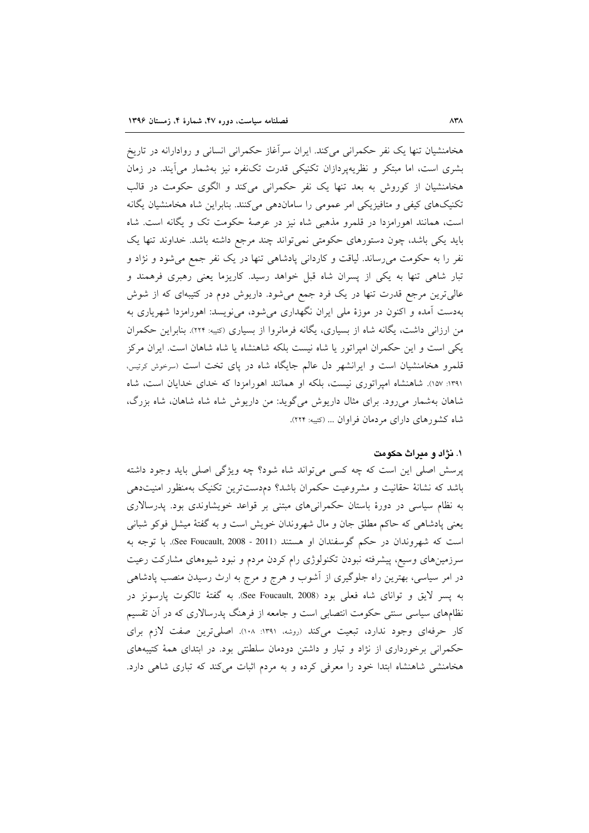هخامنشیان تنها یک نفر حکمرانی میکند. ایران سرآغاز حکمرانی انسانی و روادارانه در تاریخ بشری است، اما مبتکر و نظریهپردازان تکنیکی قدرت تکنفره نیز بهشمار می آیند. در زمان هخامنشیان از کوروش به بعد تنها یک نفر حکمرانی میکند و الگوی حکومت در قالب تکنیکهای کیفی و متافیزیکی امر عمومی را ساماندهی میکنند. بنابراین شاه هخامنشیان یگانه است، همانند اهورامزدا در قلمرو مذهبی شاه نیز در عرصهٔ حکومت تک و یگانه است. شاه باید یکی باشد، چون دستورهای حکومتی نمی تواند چند مرجع داشته باشد. خداوند تنها یک نفر را به حکومت میرساند. لیاقت و کاردانی پادشاهی تنها در یک نفر جمع میشود و نژاد و تبار شاهی تنها به یکی از پسران شاه قبل خواهد رسید. کاریزما یعنی رهبری فرهمند و عالیترین مرجع قدرت تنها در یک فرد جمع میشود. داریوش دوم در کتیبهای که از شوش بهدست آمده و اکنون در موزهٔ ملی ایران نگهداری می شود، می نویسد: اهورامزدا شهریاری به من ارزانی داشت، یگانه شاه از بسیاری، یگانه فرمانروا از بسیاری (کتیبه: ۲۲۴). بنابراین حکمران یکی است و این حکمران امپراتور یا شاه نیست بلکه شاهنشاه یا شاه شاهان است. ایران مرکز قلمرو هخامنشیان است و ایرانشهر دل عالم جایگاه شاه در پای تخت است (سرخوش کرتیس، ۱۳۹۱: ۱۵۷). شاهنشاه امیراتوری نیست، بلکه او همانند اهورامزدا که خدای خدایان است، شاه شاهان بهشمار میرود. برای مثال داریوش میگوید: من داریوش شاه شاه شاهان، شاه بزرگ، شاه كشورهاي داراي مردمان فراوان ... (كتيبه: ٢٢۴).

### ۱. نژاد و میراث حکومت

یرسش اصلی این است که چه کسی می تواند شاه شود؟ چه ویژگی اصلی باید وجود داشته باشد که نشانهٔ حقانیت و مشروعیت حکمران باشد؟ دمدستترین تکنیک بهمنظور امنیتدهی به نظام سیاسی در دورهٔ باستان حکمرانیهای مبتنی بر قواعد خویشاوندی بود. پدرسالاری یعنی پادشاهی که حاکم مطلق جان و مال شهروندان خویش است و به گفتهٔ میشل فوکو شبانی است که شهروندان در حکم گوسفندان او هستند (2011 - See Foucault, 2008). با توجه به سرزمینهای وسیع، پیشرفته نبودن تکنولوژی رام کردن مردم و نبود شیوههای مشارکت رعیت در امر سیاسی، بهترین راه جلوگیری از آشوب و هرج و مرج به ارث رسیدن منصب پادشاهی به يسر لايق و تواناي شاه فعلي بود (See Foucault, 2008). به گفتهٔ تالکوت يارسونز در نظامهای سیاسی سنتی حکومت انتصابی است و جامعه از فرهنگ پدرسالاری که در آن تقسیم كار حرفهاى وجود ندارد، تبعيت مى كند (روشه، ١٣٩١: ١٠٨). اصلى ترين صفت لازم براى حکمرانی برخورداری از نژاد و تبار و داشتن دودمان سلطنتی بود. در ابتدای همهٔ کتیبههای هخامنشی شاهنشاه ابتدا خود را معرفی کرده و به مردم اثبات میکند که تباری شاهی دارد.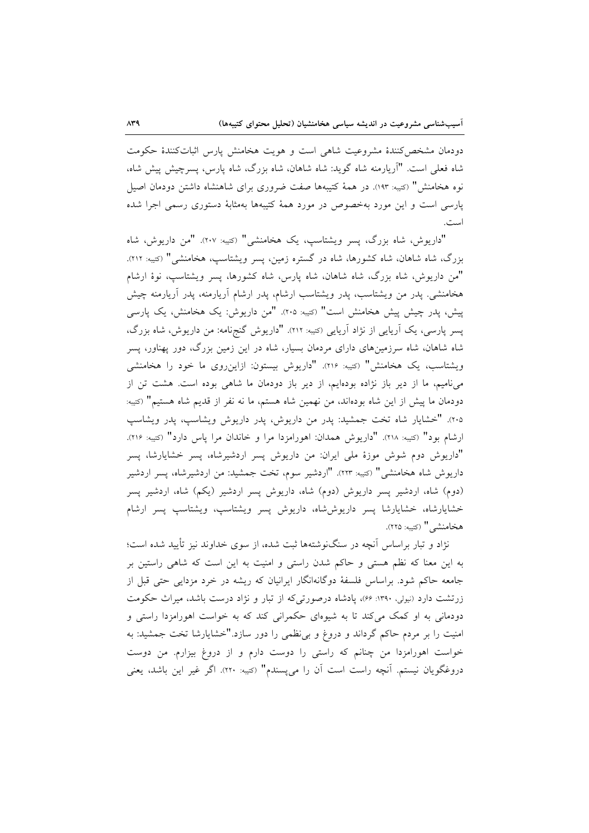دودمان مشخص كنندهٔ مشروعيت شاهى است و هويت هخامنش پارس اثباتكنندهٔ حكومت شاه فعلی است. "اَریارمنه شاه گوید: شاه شاهان، شاه بزرگ، شاه یارس، پسرچیش پیش شاه، نوه هخامنش" (كتيبه: ١٩٣). در همهٔ كتيبهها صفت ضروري براي شاهنشاه داشتن دودمان اصيل یارسی است و این مورد بهخصوص در مورد همهٔ کتیبهها بهمثابهٔ دستوری رسمی اجرا شده است.

"داریوش، شاه بزرگ، پسر ویشتاسب، یک هخامنشی" (کتیبه: ۲۰۷). "من داریوش، شاه بزرگ، شاه شاهان، شاه کشورها، شاه در گستره زمین، پسر ویشتاسپ، هخامنشی" (کتیبه: ۲۱۲). "من داریوش، شاه بزرگ، شاه شاهان، شاه پارس، شاه کشورها، پسر ویشتاسپ، نوهٔ ارشام هخامنشی. پدر من ویشتاسب، پدر ویشتاسب ارشام، پدر ارشام اَریارمنه، پدر اَریارمنه چیش پیش، پدر چیش پیش هخامنش است" (کتیبه: ۲۰۵). "من داریوش: یک هخامنش، یک پارسی یسر پارسی، یک آریایی از نژاد آریایی (کتیبه: ۲۱۲). "داریوش گنجنامه: من داریوش، شاه بزرگ، شاه شاهان، شاه سرزمینهای دارای مردمان بسیار، شاه در این زمین بزرگ، دور پهناور، پسر ویشتاسب، یک هخامنش" (سَیبه: ۲۱۶). "داریوش بیستون: ازاینروی ما خود را هخامنشی می نامیم، ما از دیر باز نژاده بودهایم، از دیر باز دودمان ما شاهی بوده است. هشت تن از دودمان ما پیش از این شاه بودهاند، من نهمین شاه هستم، ما نه نفر از قدیم شاه هستیم" (کتیبه: ٢٠٥). "خشايار شاه تخت جمشيد: پدر من داريوش، پدر داريوش ويشاسپ، پدر ويشاسپ ارشام بود" (كتيبه: ٢١٨). "داريوش همدان: اهورامزدا مرا و خاندان مرا پاس دارد" (كتيبه: ٢١۶). "داریوش دوم شوش موزهٔ ملی ایران: من داریوش پسر اردشیرشاه، پسر خشایارشا، پسر داریوش شاه هخامنشی" (کتیبه: ۲۲۳). "اردشیر سوم، تخت جمشید: من اردشیرشاه، پسر اردشیر (دوم) شاه، اردشیر پسر داریوش (دوم) شاه، داریوش پسر اردشیر (یکم) شاه، اردشیر پسر خشايارشاه، خشايارشا پسر داريوش شاه، داريوش پسر ويشتاسپ، ويشتاسپ پسر ارشام هخامنشے " (كتيبه: ٢٢٥).

نژاد و تبار براساس آنچه در سنگنوشتهها ثبت شده، از سوی خداوند نیز تأیید شده است؛ به این معنا که نظم هستی و حاکم شدن راستی و امنیت به این است که شاهی راستین بر جامعه حاکم شود. براساس فلسفهٔ دوگانهانگار ایرانیان که ریشه در خرد مزدایی حتی قبل از زرتشت دارد (نیولی، ۱۳۹۰: ۶۶)، یادشاه درصورتی که از تبار و نژاد درست باشد، میراث حکومت دودمانی به او کمک میکند تا به شیوهای حکمرانی کند که به خواست اهورامزدا راستی و امنیت را بر مردم حاکم گرداند و دروغ و بی نظمی را دور سازد."خشایارشا تخت جمشید: به خواست اهورامزدا من چنانم که راستی را دوست دارم و از دروغ بیزارم. من دوست دروغگویان نیستم. آنچه راست است آن را میپسندم" (سَیبه: ۲۲۰). اگر غیر این باشد، یعنی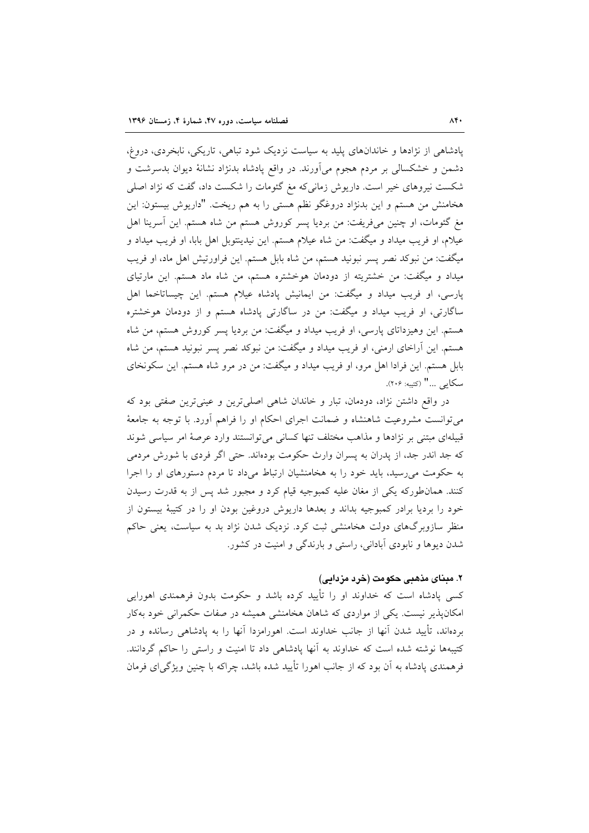پادشاهی از نژادها و خاندانهای پلید به سیاست نزدیک شود تباهی، تاریکی، نابخردی، دروغ، دشمن و خشکسالی بر مردم هجوم میآورند. در واقع یادشاه بدنژاد نشانهٔ دیوان بدسرشت و شکست نیروهای خیر است. داریوش زمانیکه مغ گئومات را شکست داد، گفت که نژاد اصلی هخامنش من هستم و این بدنژاد دروغگو نظم هستی را به هم ریخت. "داریوش بیستون: این مغ گئومات، او چنین میفریفت: من بردیا پسر کوروش هستم من شاه هستم. این آسرینا اهل عيلام، او فريب ميداد و ميگفت: من شاه عيلام هستم. اين نيدينتوبل اهل بابا، او فريب ميداد و میگفت: من نبوکد نصر پسر نبونید هستم، من شاه بابل هستم. این فراورتیش اهل ماد، او فریب میداد و میگفت: من خشتریته از دودمان هوخشتره هستم، من شاه ماد هستم. این مارتیای پارسی، او فریب میداد و میگفت: من ایمانیش پادشاه عیلام هستم. این چیساتاخما اهل ساگارتی، او فریب میداد و میگفت: من در ساگارتی یادشاه هستم و از دودمان هوخشتره هستم. این وهیزداتای پارسی، او فریب میداد و میگفت: من بردیا پسر کوروش هستم، من شاه هستم. این أراخای ارمنی، او فریب میداد و میگفت: من نبوکد نصر پسر نبونید هستم، من شاه بابل هستم. این فرادا اهل مرو، او فریب میداد و میگفت: من در مرو شاه هستم. این سکونخای سكايي ..." (كتيبه: ٢٠۶).

در واقع داشتن نژاد، دودمان، تبار و خاندان شاهی اصلی ترین و عینی ترین صفتی بود که می توانست مشروعیت شاهنشاه و ضمانت اجرای احکام او را فراهم آورد. با توجه به جامعهٔ قبیلهای مبتنی بر نژادها و مذاهب مختلف تنها کسانی میتوانستند وارد عرصهٔ امر سیاسی شوند که جد اندر جد، از پدران به پسران وارث حکومت بودهاند. حتی اگر فردی با شورش مردمی به حکومت می رسید، باید خود را به هخامنشیان ارتباط می داد تا مردم دستورهای او را اجرا کنند. همانطورکه یکی از مغان علیه کمبوجیه قیام کرد و مجبور شد پس از به قدرت رسیدن خود را بردیا برادر کمبوجیه بداند و بعدها داریوش دروغین بودن او را در کتیبهٔ بیستون از منظر سازوبرگهای دولت هخامنشی ثبت کرد. نزدیک شدن نژاد بد به سیاست، یعنی حاکم شدن دیوها و نابودی آبادانی، راستی و بارندگی و امنیت در کشور.

# ٢. مبناي مذهبي حكومت (خرد مزدامي)

کسی یادشاه است که خداوند او را تأیید کرده باشد و حکومت بدون فرهمندی اهورایی امکان پذیر نیست. یکی از مواردی که شاهان هخامنشی همیشه در صفات حکمرانی خود بهکار بردهاند، تأیید شدن آنها از جانب خداوند است. اهورامزدا آنها را به پادشاهی رسانده و در کتیبهها نوشته شده است که خداوند به آنها پادشاهی داد تا امنیت و راستی را حاکم گردانند. فرهمندی یادشاه به آن بود که از جانب اهورا تأیید شده باشد، چراکه با چنین ویژگی ای فرمان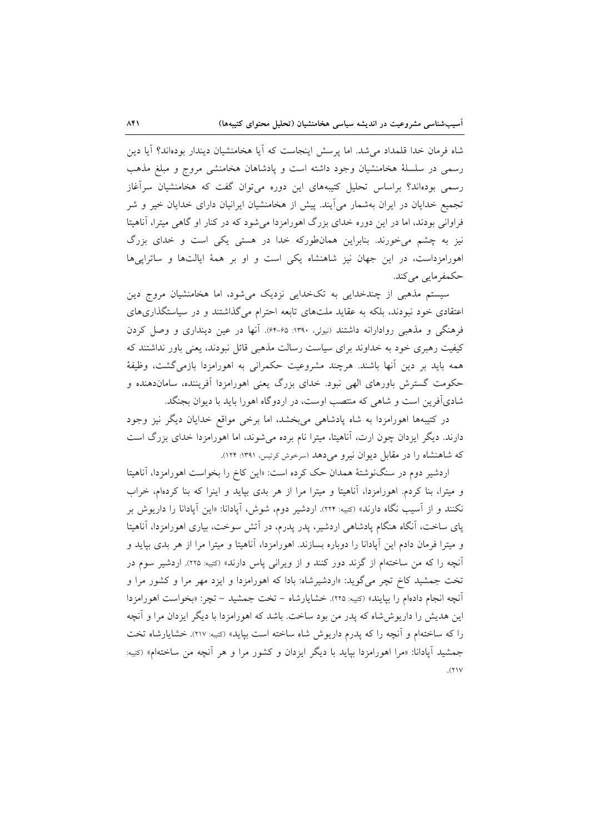شاه فرمان خدا قلمداد می شد. اما پرسش اینجاست که اَیا هخامنشیان دیندار بودهاند؟ اَیا دین رسمی در سلسلهٔ هخامنشیان وجود داشته است و یادشاهان هخامنشی مروج و مبلغ مذهب رسمی بودهاند؟ براساس تحلیل کتیبههای این دوره میتوان گفت که هخامنشیان سرآغاز تجمیع خدایان در ایران بهشمار می آیند. پیش از هخامنشیان ایرانیان دارای خدایان خیر و شر فراوانی بودند، اما در این دوره خدای بزرگ اهورامزدا میشود که در کنار او گاهی میترا، آناهیتا نیز به چشم میخورند. بنابراین همانطورکه خدا در هستی یکی است و خدای بزرگ اهورامزداست، در این جهان نیز شاهنشاه یکی است و او بر همهٔ ایالتها و ساتراییها حکمفرمایی می کند.

سیستم مذهبی از چندخدایی به تکخدایی نزدیک میشود، اما هخامنشیان مروج دین اعتقادی خود نبودند، بلکه به عقاید ملتهای تابعه احترام می گذاشتند و در سیاستگذاریهای فرهنگی و مذهبی روادارانه داشتند (نیولی، ۱۳۹۰: ۶۵-۶۴). آنها در عین دینداری و وصل کردن کیفیت رهبری خود به خداوند برای سیاست رسالت مذهبی قائل نبودند، یعنی باور نداشتند که همه بايد بر دين آنها باشند. هرچند مشروعيت حكمراني به اهورامزدا بازمي گشت، وظيفهٔ حکومت گسترش باورهای الهی نبود. خدای بزرگ یعنی اهورامزدا آفریننده، ساماندهنده و شادیآفرین است و شاهی که منتصب اوست، در اردوگاه اهورا باید با دیوان بجنگد.

در کتیبهها اهورامزدا به شاه پادشاهی می بخشد، اما برخی مواقع خدایان دیگر نیز وجود دارند. دیگر ایزدان چون ارت، آناهیتا، میترا نام برده میشوند، اما اهورامزدا خدای بزرگ است که شاهنشاه را در مقابل دیوان نیرو میدهد (سرخوش کرتیس، ۱۳۹۱: ۱۲۴).

اردشیر دوم در سنگنوشتهٔ همدان حک کرده است: «این کاخ را بخواست اهورامزدا، آناهیتا و میترا، بنا کردم. اهورامزدا، آناهیتا و میترا مرا از هر بدی بپاید و اینرا که بنا کردهام، خراب نکنند و از آسیب نگاه دارند» (کتیبه: ۲۲۴). اردشیر دوم، شوش، آیادانا: «این آیادانا را داریوش بر پای ساخت، آنگاه هنگام پادشاهی اردشیر، پدر پدرم، در آتش سوخت، بیاری اهورامزدا، آناهیتا و میترا فرمان دادم این آپادانا را دوباره بسازند. اهورامزدا، آناهیتا و میترا مرا از هر بدی بپاید و آنچه را که من ساختهام از گزند دور کنند و از ویرانی پاس دارند» (کتیبه: ۲۲۵). اردشیر سوم در تخت جمشید کاخ تچر میگوید: «اردشیرشاه: بادا که اهورامزدا و ایزد مهر مرا و کشور مرا و أنچه انجام دادهام را بپایند» (کتیبه: ۲۲۵). خشایارشاه – تخت جمشید – تچر: «بخواست اهورامزدا این هدیش را داریوش شاه که یدر من بود ساخت. باشد که اهورامزدا با دیگر ایزدان مرا و آنچه را كه ساختهام و آنچه را كه يدرم داريوش شاه ساخته است بيايد» (<sub>كتيبه:</sub> ٢١٧). خشايارشاه تخت جمشید أیادانا: «مرا اهورامزدا بیاید با دیگر ایزدان و کشور مرا و هر أنچه من ساختهام» (<sub>کتبه:</sub>  $(1)$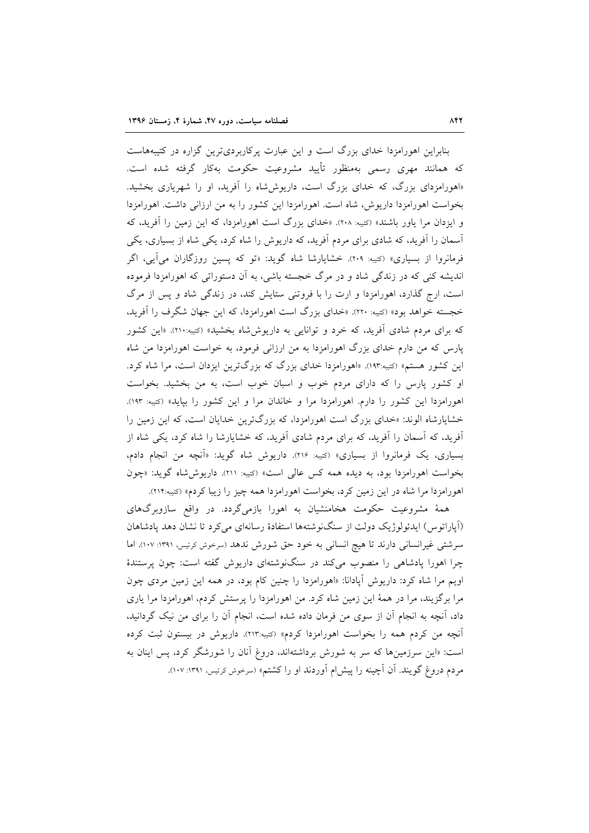بنابراین اهورامزدا خدای بزرگ است و این عبارت پرکاربردیترین گزاره در کتیبههاست که همانند مهری رسمی بهمنظور تأیید مشروعیت حکومت بهکار گرفته شده است. «اهورامزدای بزرگ، که خدای بزرگ است، داریوششاه را آفرید، او را شهریاری بخشید. بخواست اهورامزدا داریوش، شاه است. اهورامزدا این کشور را به من ارزانی داشت. اهورامزدا و ایزدان مرا یاور باشند» (کتیبه: ۲۰۸). «خدای بزرگ است اهورامزدا، که این زمین را آفرید، که آسمان را آفرید، که شادی برای مردم آفرید، که داریوش را شاه کرد، یکی شاه از بسیاری، یکی فرمانروا از بسیاری» (کتیبه: ۲۰۹). خشایارشا شاه گوید: «تو که پسین روزگاران میآیی، اگر اندیشه کنی که در زندگی شاد و در مرگ خجسته باشی، به آن دستوراتی که اهورامزدا فرموده است، ارج گذارد، اهورامزدا و ارت را با فروتنی ستایش کند، در زندگی شاد و پس از مرگ خجسته خواهد بود» (کتیه: ۲۲۰). «خدای بزرگ است اهورامزدا، که این جهان شگرف را آفرید، که برای مردم شادی آفرید، که خرد و توانایی به داریوششاه بخشید» (کتیه:۲۱۰). «این کشور پارس که من دارم خدای بزرگ اهورامزدا به من ارزانی فرمود، به خواست اهورامزدا من شاه این کشور هستم» (کتیبه:۱۹۳). «اهورامزدا خدای بزرگ که بزرگترین ایزدان است، مرا شاه کرد. او کشور پارس را که دارای مردم خوب و اسبان خوب است، به من بخشید. بخواست اهورامزدا این کشور را دارم. اهورامزدا مرا و خاندان مرا و این کشور را بپاید» (کتیبه: ۱۹۳). خشایارشاه الوند: «خدای بزرگ است اهورامزدا، که بزرگترین خدایان است، که این زمین را آفرید، که آسمان را آفرید، که برای مردم شادی آفرید، که خشایارشا را شاه کرد، یکی شاه از بسیاری، یک فرمانروا از بسیاری» (کتیبه: ۲۱۶). داریوش شاه گوید: «آنچه من انجام دادم، بخواست اهورامزدا بود، به دیده همه کس عالی است» (کتیبه: ۲۱۱). داریوششاه گوید: «چون اهورامزدا مرا شاه در این زمین کرد، بخواست اهورامزدا همه چیز را زیبا کردم» (کتیبه:۲۱۴).

همهٔ مشروعیت حکومت هخامنشیان به اهورا بازمیگردد. در واقع سازوبرگهای (آپاراتوس) ایدئولوژیک دولت از سنگنوشتهها استفادهٔ رسانهای میکرد تا نشان دهد پادشاهان سرشتی غیرانسانی دارند تا هیچ انسانی به خود حق شورش ندهد (سرخوش کرتیس، ۱۳۹۱: ۱۰۷). اما چرا اهورا پادشاهی را منصوب میکند در سنگنوشتهای داریوش گفته است: چون پرستندهٔ اویم مرا شاه کرد: داریوش آیادانا: «اهورامزدا را چنین کام بود، در همه این زمین مردی چون مرا برگزیند، مرا در همهٔ این زمین شاه کرد. من اهورامزدا را پرستش کردم، اهورامزدا مرا یاری داد، آنچه به انجام آن از سوی من فرمان داده شده است، انجام آن را برای من نیک گردانید، آنچه من کردم همه را بخواست اهورامزدا کردم» (کتیبه:۲۱۳). داریوش در بیستون ثبت کرده است: «این سرزمینها که سر به شورش برداشتهاند، دروغ آنان را شورشگر کرد، پس اینان به مردم دروغ گویند. آن آچینه را پیش|م آوردند او را کشتم» (سرخوش کرتیس، ۱۳۹۱: ۱۰۷).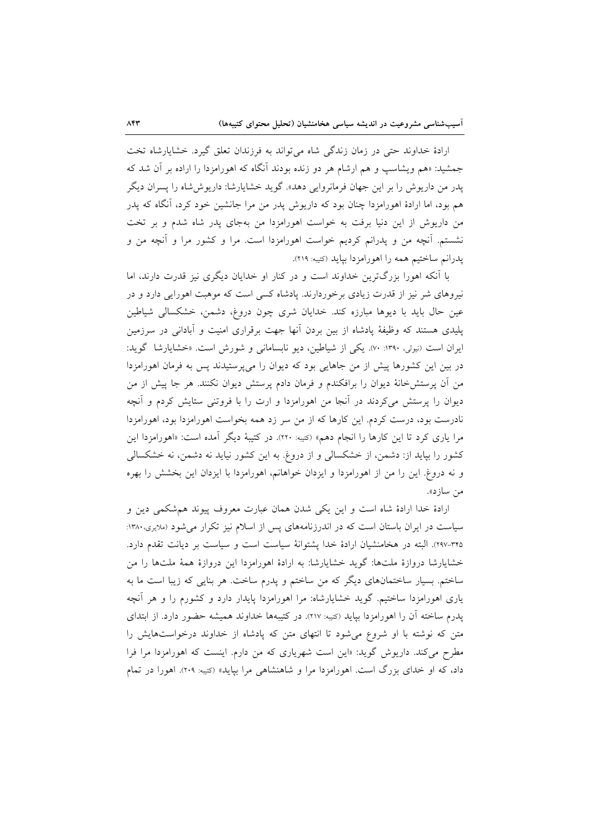ارادهٔ خداوند حتی در زمان زندگی شاه می تواند به فرزندان تعلق گیرد. خشایارشاه تخت جمشید: «هم ویشاسپ و هم ارشام هر دو زنده بودند اّنگاه که اهورامزدا را اراده بر اَن شد که یدر من داریوش را بر این جهان فرمانروایی دهد». گوید خشایارشا: داریوش شاه را پسران دیگر هم بود، اما ارادهٔ اهورامزدا چنان بود که داریوش پدر من مرا جانشین خود کرد، آنگاه که پدر من داریوش از این دنیا برفت به خواست اهورامزدا من بهجای پدر شاه شدم و بر تخت نشستم. آنچه من و پدرانم کردیم خواست اهورامزدا است. مرا و کشور مرا و آنچه من و پدرانم ساختیم همه را اهورامزدا بیاید (کتیبه: ۲۱۹).

با آنکه اهورا بزرگترین خداوند است و در کنار او خدایان دیگری نیز قدرت دارند، اما نیروهای شر نیز از قدرت زیادی برخوردارند. پادشاه کسی است که موهبت اهورایی دارد و در عین حال باید با دیوها مبارزه کند. خدایان شری چون دروغ، دشمن، خشکسالی شیاطین پلیدی هستند که وظیفهٔ یادشاه از بین بردن آنها جهت برقراری امنیت و آبادانی در سرزمین ایران است (نیولی، ۱۳۹۰: ۷۰). یکی از شیاطین، دیو نابسامانی و شورش است. «خشایارشا گوید: در بین این کشورها پیش از من جاهایی بود که دیوان را میپرستیدند پس به فرمان اهورامزدا من آن پرستش خانهٔ دیوان را برافکندم و فرمان دادم پرستش دیوان نکنند. هر جا پیش از من دیوان را پرستش میکردند در آنجا من اهورامزدا و ارت را با فروتنی ستایش کردم و آنچه نادرست بود، درست کردم. این کارها که از من سر زد همه بخواست اهورامزدا بود، اهورامزدا مرا یاری کرد تا این کارها را انجام دهم» (کتیبه: ۲۲۰). در کتیبهٔ دیگر آمده است: «اهورامزدا این کشور را بپاید از: دشمن، از خشکسالی و از دروغ. به این کشور نیاید نه دشمن، نه خشکسالی و نه دروغ. این را من از اهورامزدا و ایزدان خواهانم، اهورامزدا با ایزدان این بخشش را بهره من سازد».

ارادهٔ خدا ارادهٔ شاه است و این یکی شدن همان عبارت معروف پیوند هم شکمی دین و سیاست در ایران باستان است که در اندرزنامههای پس از اسلام نیز تکرار می شود (ملایری،۱۳۸۰: ۳۴۵-۲۹۷). البته در هخامنشیان ارادهٔ خدا پشتوانهٔ سیاست است و سیاست بر دیانت تقدم دارد. خشایارشا دروازهٔ ملتها: گوید خشایارشا: به ارادهٔ اهورامزدا این دروازهٔ همهٔ ملتها را من ساختم. بسیار ساختمانهای دیگر که من ساختم و یدرم ساخت. هر بنایی که زیبا است ما به یاری اهورامزدا ساختیم. گوید خشایارشاه: مرا اهورامزدا پایدار دارد و کشورم را و هر آنچه پدرم ساخته آن را اهورامزدا بپاید (کتیبه: ۲۱۷). در کتیبهها خداوند همیشه حضور دارد. از ابتدای متن که نوشته با او شروع می شود تا انتهای متن که پادشاه از خداوند درخواستهایش را مطرح می کند. داریوش گوید: «این است شهریاری که من دارم. اینست که اهورامزدا مرا فرا داد، که او خدای بزرگ است. اهورامزدا مرا و شاهنشاهی مرا بپاید» (کتیبه: ۲۰۹). اهورا در تمام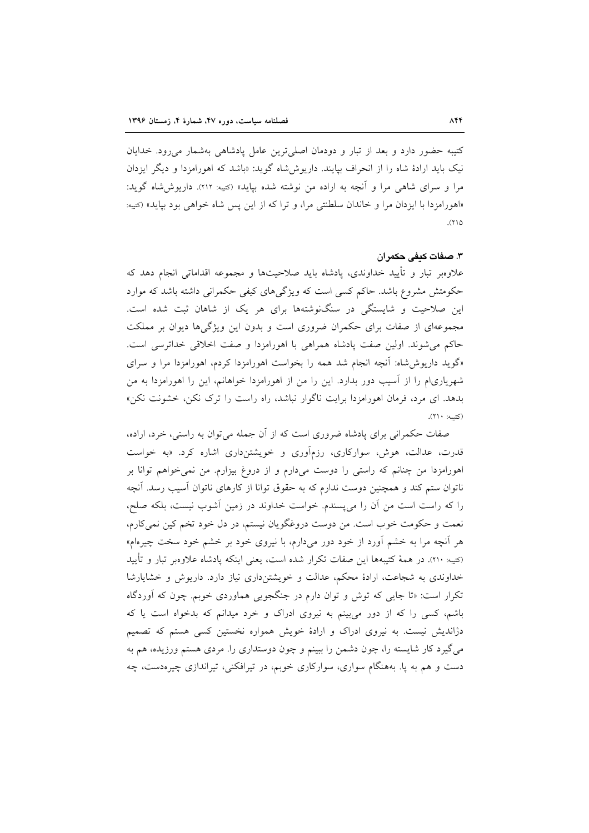کتیبه حضور دارد و بعد از تبار و دودمان اصلیترین عامل پادشاهی بهشمار می رود. خدایان نیک باید ارادهٔ شاه را از انحراف بیایند. داریوش شاه گوید: «باشد که اهورامزدا و دیگر ایزدان مرا و سرای شاهی مرا و آنچه به اراده من نوشته شده بیاید» (کتیه: ۲۱۲). داریوش شاه گوید: «اهورامزدا با ايزدان مرا و خاندان سلطنتي مرا، و تراكه از اين پس شاه خواهي بود بيايد» (كتيبه:  $(110$ 

# ٣. صفات كدفي حكمران

علاوهبر تبار و تأييد خداوندي، پادشاه بايد صلاحيتها و مجموعه اقداماتي انجام دهد كه حکومتش مشروع باشد. حاکم کسی است که ویژگیهای کیفی حکمرانی داشته باشد که موارد این صلاحیت و شایستگی در سنگنوشتهها برای هر یک از شاهان ثبت شده است. مجموعهای از صفات برای حکمران ضروری است و بدون این ویژگیها دیوان بر مملکت حاكم مي شوند. اولين صفت يادشاه همراهي با اهورامزدا و صفت اخلاقي خداترسي است. «گوید داریوش شاه: آنچه انجام شد همه را بخواست اهورامزدا کردم، اهورامزدا مرا و سرای شهریاریام را از آسیب دور بدارد. این را من از اهورامزدا خواهانم، این را اهورامزدا به من بدهد. ای مرد، فرمان اهورامزدا برایت ناگوار نباشد، راه راست را ترک نکن، خشونت نکن» (کتیبه: ۲۱۰).

صفات حکمرانی برای پادشاه ضروری است که از آن جمله می توان به راستی، خرد، اراده، قدرت، عدالت، هوش، سوارکاری، رزمآوری و خویشتنداری اشاره کرد. «به خواست اهورامزدا من چنانم که راستی را دوست میدارم و از دروغ بیزارم. من نمی خواهم توانا بر ناتوان ستم کند و همچنین دوست ندارم که به حقوق توانا از کارهای ناتوان آسیب رسد. آنچه را كه راست است من آن را مى پسندم. خواست خداوند در زمين آشوب نيست، بلكه صلح، نعمت و حکومت خوب است. من دوست دروغگویان نیستم، در دل خود تخم کین نمی کارم، هر آنچه مرا به خشم آورد از خود دور میدارم، با نیروی خود بر خشم خود سخت چیرهام» (كتيبه: ٢١٠). در همهٔ كتيبهها اين صفات تكرار شده است، يعني اينكه يادشاه علاوهبر تبار و تأييد خداوندی به شجاعت، ارادهٔ محکم، عدالت و خویشتنداری نیاز دارد. داریوش و خشایارشا تکرار است: «تا جایی که توش و توان دارم در جنگجویی هماوردی خوبم. چون که آوردگاه باشم، کسی را که از دور می بینم به نیروی ادراک و خرد میدانم که بدخواه است یا که دژاندیش نیست. به نیروی ادراک و ارادهٔ خویش همواره نخستین کسی هستم که تصمیم میگیرد کار شایسته را، چون دشمن را ببینم و چون دوستداری را مردی هستم ورزیده، هم به دست و هم به یا. بههنگام سواری، سوارکاری خوبم، در تیرافکنی، تیراندازی چیرهدست، چه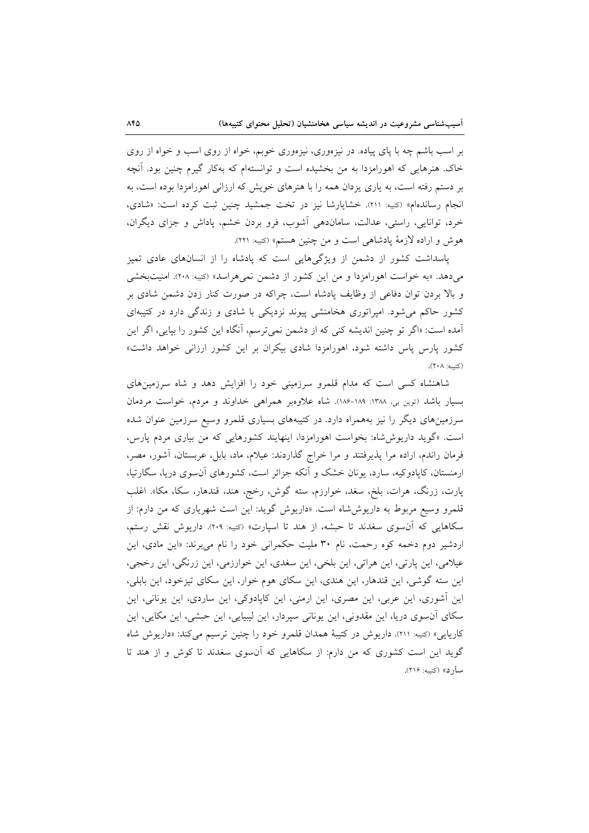بر اسب باشم چه با پای پیاده. در نیزهوری، نیزهوری خوبم، خواه از روی اسب و خواه از روی خاک هنرهایی که اهورامزدا به من بخشیده است و توانستهام که بهکار گیرم چنین بود. آنچه بر دستم رفته است، به یاری یزدان همه را با هنرهای خویش که ارزانی اهورامزدا بوده است، به انجام رساندهام» (کتیه: ٢١١). خشایارشا نیز در تخت جمشید چنین ثبت کرده است: «شادی، خرد، توانایی، راستی، عدالت، ساماندهی آشوب، فرو بردن خشم، پاداش و جزای دیگران، هوش و اراده لازمهٔ پادشاهی است و من چنین هستم» (کتیبه: ۲۲۱).

پاسداشت کشور از دشمن از ویژگیهایی است که پادشاه را از انسانهای عادی تمیز می دهد. «به خواست اهورامزدا و من این کشور از دشمن نمی هراسد» (کتیبه: ۲۰۸). امنیتبخشی و بالا بردن توان دفاعی از وظایف پادشاه است، چراکه در صورت کنار زدن دشمن شادی بر کشور حاکم می شود. امیراتوری هخامنشی پیوند نزدیکی با شادی و زندگی دارد در کتیبهای آمده است: «اگر تو چنین اندیشه کنی که از دشمن نمی ترسم، آنگاه این کشور را بیایی، اگر این کشور پارس پاس داشته شود، اهورامزدا شادی بیکران بر این کشور ارزانی خواهد داشت» (کتىبە: ٢٠٨).

شاهنشاه کسی است که مدام قلمرو سرزمینی خود را افزایش دهد و شاه سرزمینهای بسیار باشد (توین بی، ۱۳۸۸-۱۸۶-۱۸۶). شاه علاوهبر همراهی خداوند و مردم، خواست مردمان سرزمینهای دیگر را نیز بههمراه دارد. در کتیبههای بسیاری قلمرو وسیع سرزمین عنوان شده است. «گوید داریوششاه: بخواست اهورامزدا، اینهایند کشورهایی که من بیاری مردم پارس، فرمان راندم، اراده مرا پذیرفتند و مرا خراج گذاردند: عیلام، ماد، بابل، عربستان، آشور، مصر، ارمنستان، کاپادوکیه، سارد، یونان خشک و آنکه جزائر است، کشورهای آن سوی دریا، سگارتیا، پارت، زرنگ، هرات، بلخ، سغد، خوارزم، سته گوش، رخج، هند، قندهار، سکا، مکا». اغلب قلمرو وسیع مربوط به داریوششاه است. «داریوش گوید: این است شهریاری که من دارم: از سکاهایی که آنسوی سغدند تا حبشه، از هند تا اسپارت» (<sub>کت</sub>به: ۲۰۹). داریوش نقش رستم، اردشیر دوم دخمه کوه رحمت، نام ۳۰ ملیت حکمرانی خود را نام می برند: «این مادی، این عیلامی، این پارتی، این هراتی، این بلخی، این سغدی، این خوارزمی، این زرنگی، این رخجی، این سته گوشی، این قندهار، این هندی، این سکای هوم خوار، این سکای تیزخود، این بابلی، این آشوری، این عربی، این مصری، این ارمنی، این کاپادوکی، این ساردی، این یونانی، این سکای آن وی دریا، این مقدونی، این یونانی سپردار، این لیبیایی، این حبشی، این مکایی، این کاریایی» (کتیبه: ٢١١). داریوش در کتیبهٔ همدان قلمرو خود را چنین ترسیم می کند: «داریوش شاه گوید این است کشوری که من دارم: از سکاهایی که آنسوی سغدند تا کوش و از هند تا سارد» (کتيبه: ٢١۶).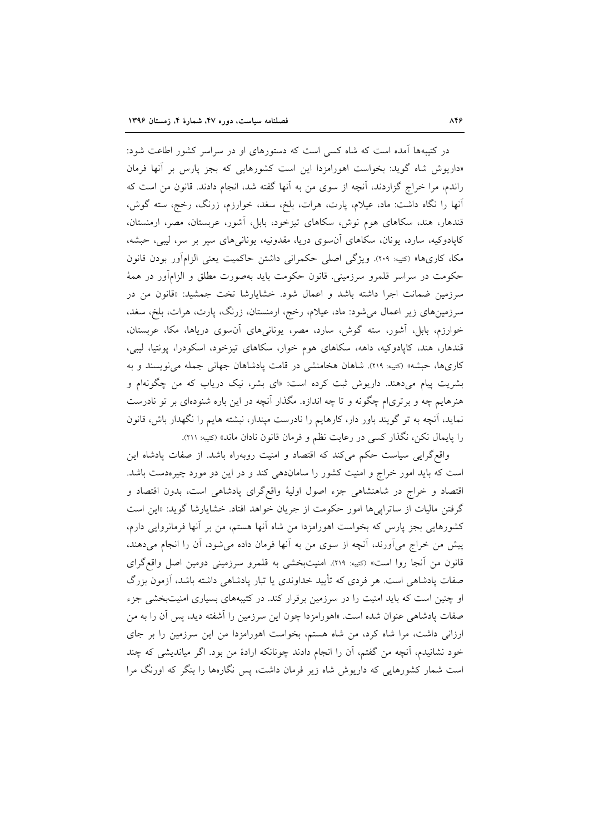در کتیبهها آمده است که شاه کسی است که دستورهای او در سراسر کشور اطاعت شود: «داریوش شاه گوید: بخواست اهورامزدا این است کشورهایی که بجز یارس بر آنها فرمان راندم، مرا خراج گزاردند، آنچه از سوی من به آنها گفته شد، انجام دادند. قانون من است که آنها را نگاه داشت: ماد، عیلام، پارت، هرات، بلخ، سغد، خوارزم، زرنگ، رخج، سته گوش، قندهار، هند، سکاهای هوم نوش، سکاهای تیزخود، بابل، آشور، عربستان، مصر، ارمنستان، کاپادوکیه، سارد، یونان، سکاهای آنسوی دریا، مقدونیه، یونانیهای سیر بر سر، لیبی، حبشه، مكا، كارىها» (كتيبه: ٢٠٩). ويژگي اصلي حكمراني داشتن حاكميت يعني الزامآور بودن قانون حکومت در سراسر قلمرو سرزمینی. قانون حکومت باید بهصورت مطلق و الزامآور در همهٔ سرزمین ضمانت اجرا داشته باشد و اعمال شود. خشایارشا تخت جمشید: «قانون من در سرزمینهای زیر اعمال می شود: ماد، عیلام، رخج، ارمنستان، زرنگ، پارت، هرات، بلخ، سغد. خوارزم، بابل، آشور، سته گوش، سارد، مصر، یونانیهای آنسوی دریاها، مکا، عربستان، قندهار، هند، کاپادوکیه، داهه، سکاهای هوم خوار، سکاهای تیزخود، اسکودرا، پونتیا، لیبی، کاریها، حبشه» (کتیبه: ٢١٩). شاهان هخامنشی در قامت پادشاهان جهانی جمله می نویسند و به بشریت پیام میدهند. داریوش ثبت کرده است: «ای بشر، نیک دریاب که من چگونهام و هنرهایم چه و برتری|م چگونه و تا چه اندازه. مگذار آنچه در این باره شنودهای بر تو نادرست نماید، آنچه به تو گویند باور دار، کارهایم را نادرست میندار، نبشته هایم را نگهدار باش، قانون را پایمال نکن، نگذار کسی در رعایت نظم و فرمان قانون نادان ماند» (<sub>کت</sub>یه: ۲۱۱).

واقع گرایی سیاست حکم میکند که اقتصاد و امنیت روبهراه باشد. از صفات پادشاه این است که باید امور خراج و امنیت کشور را ساماندهی کند و در این دو مورد چیرهدست باشد. اقتصاد و خراج در شاهنشاهی جزء اصول اولیهٔ واقع\$رای پادشاهی است، بدون اقتصاد و گرفتن مالیات از ساتراییها امور حکومت از جریان خواهد افتاد. خشایارشا گوید: «این است کشورهایی بجز پارس که بخواست اهورامزدا من شاه آنها هستم، من بر آنها فرمانروایی دارم، پیش من خراج می[ورند، آنچه از سوی من به آنها فرمان داده میشود، آن را انجام میدهند، قانون من آنجا روا است» (<sub>كتيه:</sub> ٢١٩). امنيتبخشى به قلمرو سرزمينى دومين اصل واقع گراى صفات یادشاهی است. هر فردی که تأیید خداوندی یا تبار یادشاهی داشته باشد، آزمون بزرگ او چنین است که باید امنیت را در سرزمین برقرار کند. در کتیبههای بسیاری امنیتبخشی جزء صفات پادشاهی عنوان شده است. «اهورامزدا چون این سرزمین را آشفته دید، پس آن را به من ارزانی داشت، مرا شاه کرد، من شاه هستم، بخواست اهورامزدا من این سرزمین را بر جای خود نشانیدم، آنچه من گفتم، آن را انجام دادند چونانکه ارادهٔ من بود. اگر میاندیشی که چند است شمار کشورهایی که داریوش شاه زیر فرمان داشت، پس نگارهها را بنگر که اورنگ مرا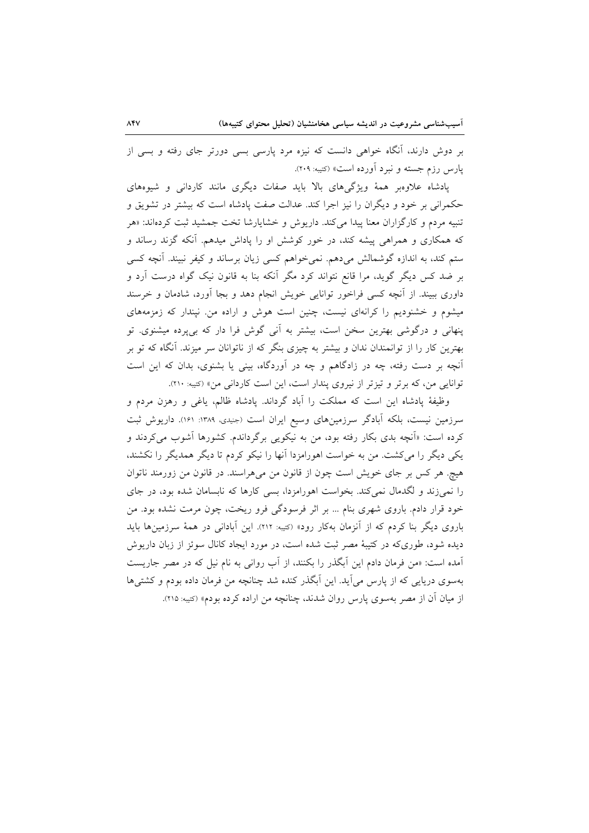بر دوش دارند، آنگاه خواهی دانست که نیزه مرد پارسی بسی دورتر جای رفته و بسی از یارس رزم جسته و نبرد آورده است» (کتیبه: ۲۰۹).

پادشاه علاوهبر همهٔ ویژگیهای بالا باید صفات دیگری مانند کاردانی و شیوههای حکمرانی بر خود و دیگران را نیز اجرا کند. عدالت صفت یادشاه است که بیشتر در تشویق و تنبیه مردم و کارگزاران معنا پیدا میکند. داریوش و خشایارشا تخت جمشید ثبت کردهاند: «هر که همکاری و همراهی پیشه کند، در خور کوشش او را پاداش میدهم. آنکه گزند رساند و ستم کند، به اندازه گوشمالش میدهم. نمیخواهم کسی زیان برساند و کیفر نبیند. آنچه کسی بر ضد کس دیگر گوید، مرا قانع نتواند کرد مگر آنکه بنا به قانون نیک گواه درست آرد و داوری ببیند. از آنچه کسی فراخور توانایی خویش انجام دهد و بجا آورد، شادمان و خرسند میشوم و خشنودیم را کرانهای نیست، چنین است هوش و اراده من نیندار که زمزمههای پنهانی و درگوشی بهترین سخن است، بیشتر به آنی گوش فرا دار که بی پرده میشنوی. تو بهترین کار را از توانمندان ندان و بیشتر به چیزی بنگر که از ناتوانان سر میزند. آنگاه که تو بر آنچه بر دست رفته، چه در زادگاهم و چه در آوردگاه، بینی یا بشنوی، بدان که این است توانایی من، که برتر و تیزتر از نیروی پندار است، این است کاردانی من» (کتیبه: ٢١٠).

وظيفهٔ پادشاه اين است كه مملكت را آباد گرداند. پادشاه ظالم، ياغي و رهزن مردم و سرزمین نیست، بلکه آبادگر سرزمینهای وسیع ایران است (جنیدی، ۱۳۸۹: ۱۶۱). داریوش ثبت کرده است: «آنچه بدی بکار رفته بود، من به نیکویی برگرداندم. کشورها آشوب میکردند و یکی دیگر را میکشت. من به خواست اهورامزدا آنها را نیکو کردم تا دیگر همدیگر را نکشند، هیچ. هر کس بر جای خویش است چون از قانون من می هراسند. در قانون من زورمند ناتوان را نمیزند و لگدمال نمیکند. بخواست اهورامزدا، بسی کارها که نابسامان شده بود، در جای خود قرار دادم. باروی شهری بنام ... بر اثر فرسودگی فرو ریخت، چون مرمت نشده بود. من باروی دیگر بنا کردم که از آنزمان بهکار رود» (کتیبه: ۲۱۲). این آبادانی در همهٔ سرزمینها باید دیده شود، طوریکه در کتیبهٔ مصر ثبت شده است، در مورد ایجاد کانال سوئز از زبان داریوش آمده است: «من فرمان دادم این آبگذر را بکنند، از آب روانی به نام نیل که در مصر جاریست بهسوی دریایی که از پارس می آید. این آبگذر کنده شد چنانچه من فرمان داده بودم و کشتی ها از میان آن از مصر بهسوی پارس روان شدند، چنانچه من اراده کرده بودم» (کتیبه: ۲۱۵).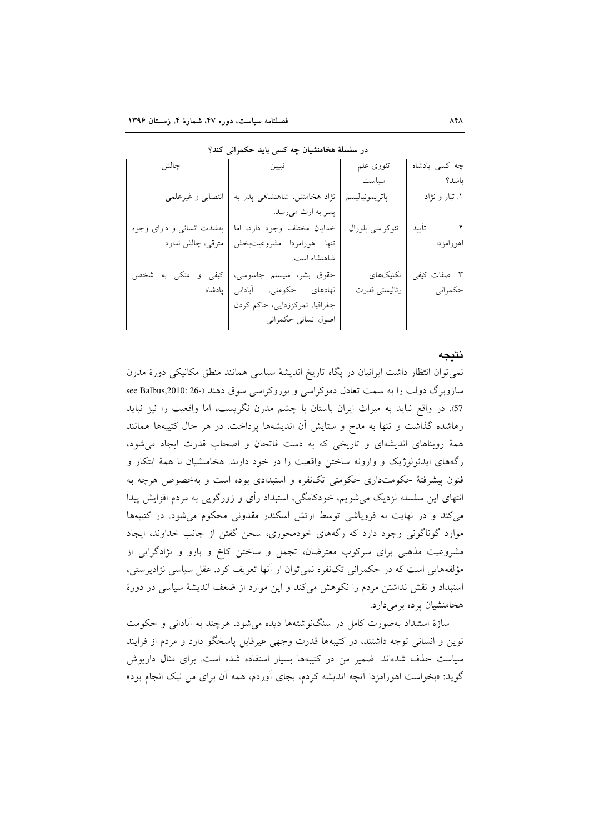| چالش                      | تبيين                          | تئوري علم       | چه کسی پادشاه  |
|---------------------------|--------------------------------|-----------------|----------------|
|                           |                                | سياست           | باشد؟          |
| انتصابى و غيرعلمي         | نژاد هخامنش، شاهنشاهی پدر به   | پاتريمونياليسم  | ۱. تبار و نژاد |
|                           | پسر به ارث ميرسد.              |                 |                |
| بهشدت انسانی و دارای وجوه | خدايان مختلف وجود دارد، اما    | تئوكراسي پلورال | ٢. تأييد       |
| مترقى، چالش ندارد         | تنها اهورامزدا مشروعيتبخش      |                 | اهورامزدا      |
|                           | شاهنشاه است.                   |                 |                |
| کیفی و متکی به شخص        | حقوق بشر، سيستم جاسوسي،        | تكنيكهاي        | ۳– صفات کیفی   |
|                           | نهادهای حکومتی، آبادانی پادشاه | رئاليستى قدرت   | حكمراني        |
|                           | جغرافیا، تمرکززدایی، حاکم کردن |                 |                |
|                           | اصول انساني حكمراني            |                 |                |

در سلسلهٔ هخامنشیان جه کسی باید حکم انی کند؟

#### نتيجه

نمی توان انتظار داشت ایرانیان در یگاه تاریخ اندیشهٔ سیاسی همانند منطق مکانیکی دورهٔ مدرن سازوبرگ دولت را به سمت تعادل دموکراسی و بوروکراسی سوق دهند (-26 :2010 see Balbus, 57. در واقع نباید به میراث ایران باستان با چشم مدرن نگریست، اما واقعیت را نیز نباید رهاشده گذاشت و تنها به مدح و ستایش آن اندیشهها پرداخت. در هر حال کتیبهها همانند همهٔ روبناهای اندیشهای و تاریخی که به دست فاتحان و اصحاب قدرت ایجاد می شود، رگههای ایدئولوژیک و وارونه ساختن واقعیت را در خود دارند. هخامنشیان با همهٔ ابتکار و فنون پیشرفتهٔ حکومتداری حکومتی تکنفره و استبدادی بوده است و بهخصوص هرچه به انتهای این سلسله نزدیک میشویم، خودکامگی، استبداد رأی و زورگویی به مردم افزایش پیدا می کند و در نهایت به فرویاشی توسط ارتش اسکندر مقدونی محکوم می شود. در کتیبهها موارد گوناگونی وجود دارد که رگههای خودمحوری، سخن گفتن از جانب خداوند، ایجاد مشروعیت مذهبی برای سرکوب معترضان، تجمل و ساختن کاخ و بارو و نژادگرایی از مؤلفههایی است که در حکمرانی تکنفره نمی توان از آنها تعریف کرد. عقل سیاسی نژادیرستی، استبداد و نقش نداشتن مردم را نکوهش میکند و این موارد از ضعف اندیشهٔ سیاسی در دورهٔ هخامنشیان پرده برمیدارد.

سازهٔ استبداد بهصورت کامل در سنگنوشتهها دیده می شود. هرچند به آبادانی و حکومت نوین و انسانی توجه داشتند، در کتیبهها قدرت وجهی غیرقابل پاسخگو دارد و مردم از فرایند سیاست حذف شدهاند. ضمیر من در کتیبهها بسیار استفاده شده است. برای مثال داریوش گوید: «بخواست اهورامزدا آنچه اندیشه کردم، بجای آوردم، همه آن برای من نیک انجام بود»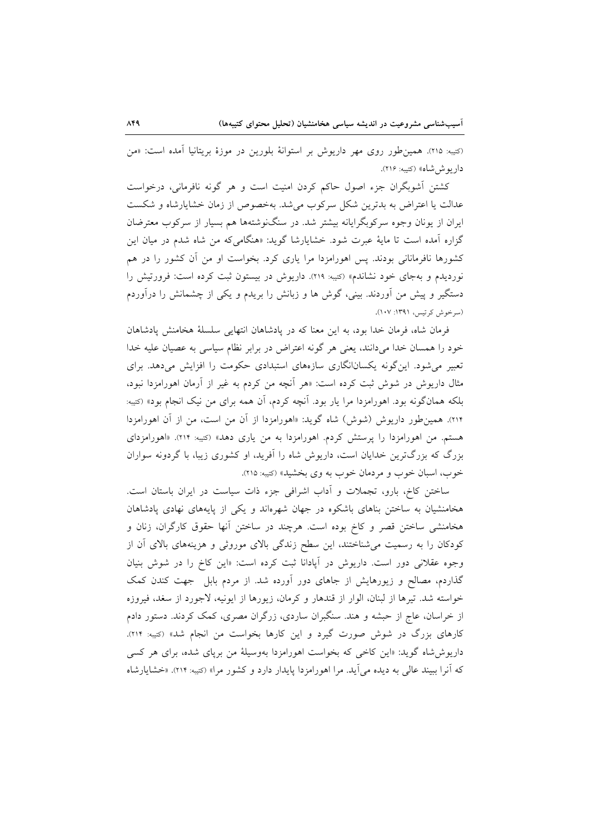(کتیبه: ۲۱۵). همین طور روی مهر داریوش بر استوانهٔ بلورین در موزهٔ بریتانیا آمده است: «من دار بوش شاه» (کتیبه: ۲۱۶).

کشتن آشوبگران جزء اصول حاکم کردن امنیت است و هر گونه نافرمانی، درخواست عدالت یا اعتراض به بدترین شکل سرکوب می شد. بهخصوص از زمان خشایارشاه و شکست ایران از یونان وجوه سرکوبگرایانه بیشتر شد. در سنگنوشتهها هم بسیار از سرکوب معترضان گزاره آمده است تا مایهٔ عبرت شود. خشایارشا گوید: «هنگامی که من شاه شدم در میان این کشورها نافرمانانی بودند. پس اهورامزدا مرا یاری کرد. بخواست او من آن کشور را در هم نوردیدم و بهجای خود نشاندم» (کتیبه: ۲۱۹). داریوش در بیستون ثبت کرده است: فرورتیش را دستگیر و پیش من اَوردند. بینی، گوش ها و زبانش را بریدم و یکی از چشمانش را درآوردم (سرخوش کرتیس، ۱۳۹۱: ۱۰۷).

فرمان شاه، فرمان خدا بود، به این معنا که در یادشاهان انتهایی سلسلهٔ هخامنش یادشاهان خود را همسان خدا میدانند، یعنی هر گونه اعتراض در برابر نظام سیاسی به عصیان علیه خدا تعبیر میشود. این گونه یکسانانگاری سازههای استبدادی حکومت را افزایش میدهد. برای مثال داریوش در شوش ثبت کرده است: «هر آنچه من کردم به غیر از آرمان اهورامزدا نبود، بلکه همانگونه بود. اهورامزدا مرا یار بود. آنچه کردم، آن همه برای من نیک انجام بود» (کتیبه: ۲۱۴). همین طور داریوش (شوش) شاه گوید: «اهورامزدا از آن من است، من از آن اهورامزدا هستم. من اهورامزدا را پرستش کردم. اهورامزدا به من یاری دهد» (کتیبه: ۲۱۴). «اهورامزدای بزرگ که بزرگترین خدایان است، داریوش شاه را آفرید، او کشوری زیبا، با گردونه سواران خوب، اسبان خوب و مردمان خوب به وي بخشيد» (کتيبه: ٢١٥).

ساختن کاخ، بارو، تجملات و أداب اشرافی جزء ذات سیاست در ایران باستان است. هخامنشیان به ساختن بناهای باشکوه در جهان شهرماند و یکی از پایههای نهادی پادشاهان هخامنشی ساختن قصر و کاخ بوده است. هرچند در ساختن آنها حقوق کارگران، زنان و کودکان را به رسمیت میشناختند، این سطح زندگی بالای موروثی و هزینههای بالای آن از وجوه عقلانی دور است. داریوش در آپادانا ثبت کرده است: «این کاخ را در شوش بنیان گذاردم، مصالح و زیورهایش از جاهای دور آورده شد. از مردم بابل جهت کندن کمک خواسته شد. تيرها از لبنان، الوار از قندهار و كرمان، زيورها از ايونيه، لاجورد از سغد، فيروزه از خراسان، عاج از حبشه و هند. سنگبران ساردی، زرگران مصری، کمک کردند. دستور دادم کارهای بزرگ در شوش صورت گیرد و این کارها بخواست من انجام شد» (تتیبه: ۲۱۴). داریوش شاه گوید: «این کاخی که بخواست اهورامزدا بهوسیلهٔ من برپای شده، برای هر کسی که آنرا ببیند عالی به دیده می آید. مرا اهورامزدا پایدار دارد و کشور مرا» (کتیبه: ۲۱۴). «خشایارشاه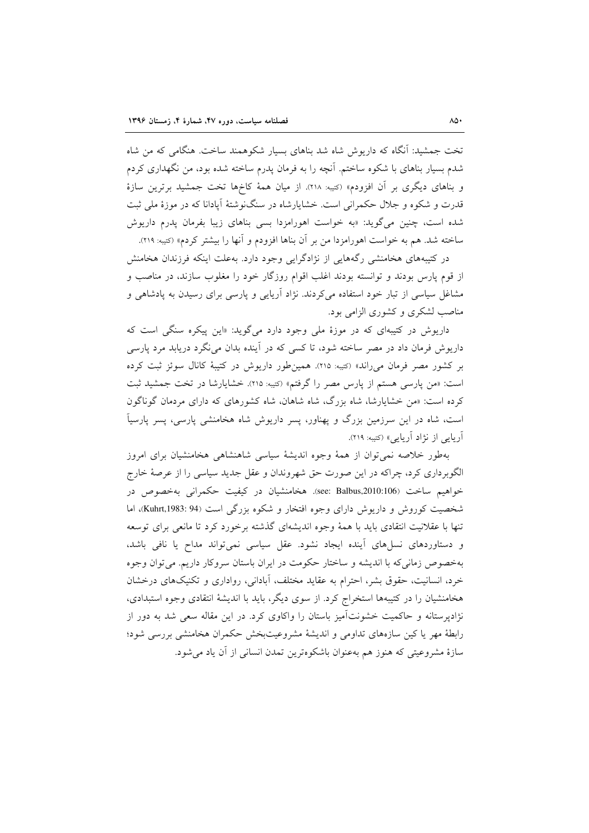تخت جمشید: آنگاه که داریوش شاه شد بناهای بسیار شکوهمند ساخت. هنگامی که من شاه شدم بسیار بناهای با شکوه ساختم. آنچه را به فرمان پدرم ساخته شده بود، من نگهداری کردم و بناهای دیگری بر آن افزودم» (<sub>کت</sub>یه: ۲۱۸). از میان همهٔ کاخها تخت جمشید برترین سازهٔ قدرت و شکوه و جلال حکمرانی است. خشایارشاه در سنگنوشتهٔ آیادانا که در موزهٔ ملی ثبت شده است، چنین میگوید: «به خواست اهورامزدا بسی بناهای زیبا بفرمان یدرم داریوش ساخته شد. هم به خواست اهورامزدا من بر آن بناها افزودم و آنها را بیشتر کردم» (کتیبه: ۲۱۹).

در کتیبههای هخامنشی رگههایی از نژادگرایی وجود دارد. بهعلت اینکه فرزندان هخامنش از قوم پارس بودند و توانسته بودند اغلب اقوام روزگار خود را مغلوب سازند، در مناصب و مشاغل سیاسی از تبار خود استفاده میکردند. نژاد آریایی و پارسی برای رسیدن به پادشاهی و مناصب لشکری و کشوری الزامی بود.

داریوش در کتیبهای که در موزهٔ ملی وجود دارد میگوید: «این پیکره سنگی است که داریوش فرمان داد در مصر ساخته شود، تا کسی که در آینده بدان می نگرد دریابد مرد پارسی بر کشور مصر فرمان می راند» (کتیه: ۲۱۵). همین طور داریوش در کتیبهٔ کانال سوئز ثبت کرده است: «من پارسی هستم از پارس مصر را گرفتم» (کتیبه: ۲۱۵). خشایارشا در تخت جمشید ثبت کرده است: «من خشایارشا، شاه بزرگ، شاه شاهان، شاه کشورهای که دارای مردمان گوناگون است، شاه در این سرزمین بزرگ و پهناور، پسر داریوش شاه هخامنشی پارسی، پسر پارسیآ آریایی از نژاد آریایی» (کتیبه: ۲۱۹).

بهطور خلاصه نمى توان از همهٔ وجوه انديشهٔ سياسى شاهنشاهى هخامنشيان براى امروز الگوبرداری کرد، چراکه در این صورت حق شهروندان و عقل جدید سیاسی را از عرصهٔ خارج خواهیم ساخت (see: Balbus,2010:106). هخامنشیان در کیفیت حکمرانی بهخصوص در شخصیت کوروش و داریوش دارای وجوه افتخار و شکوه بزرگی است (Kuhrt,1983: 94)، اما تنها با عقلانیت انتقادی باید با همهٔ وجوه اندیشهای گذشته برخورد کرد تا مانعی برای توسعه و دستاوردهای نسلهای أینده ایجاد نشود. عقل سیاسی نمیتواند مداح یا نافی باشد، بهخصوص زمانی که با اندیشه و ساختار حکومت در ایران باستان سروکار داریم. می توان وجوه خرد، انسانیت، حقوق بشر، احترام به عقاید مختلف، آبادانی، رواداری و تکنیکهای درخشان هخامنشیان را در کتیبهها استخراج کرد. از سوی دیگر، باید با اندیشهٔ انتقادی وجوه استبدادی، نژادیرستانه و حاکمیت خشونتآمیز باستان را واکاوی کرد. در این مقاله سعی شد به دور از رابطهٔ مهر یا کین سازههای تداومی و اندیشهٔ مشروعیتبخش حکمران هخامنشی بررسی شود؛ سازهٔ مشروعیتی که هنوز هم بهعنوان باشکوهترین تمدن انسانی از آن یاد می شود.